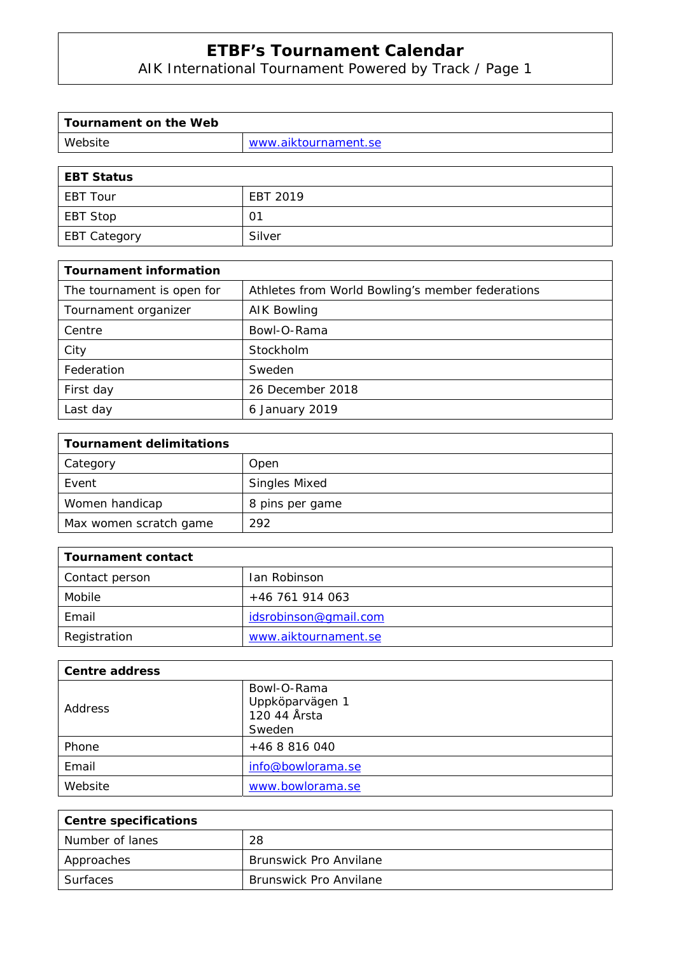AIK International Tournament Powered by Track / Page 1

| Tournament on the Web |                      |
|-----------------------|----------------------|
| Website               | www.aiktournament.se |
|                       |                      |

| <b>EBT Status</b> |          |
|-------------------|----------|
| EBT Tour          | EBT 2019 |
| EBT Stop          | 01       |
| EBT Category      | Silver   |

| <b>Tournament information</b> |                                                  |
|-------------------------------|--------------------------------------------------|
| The tournament is open for    | Athletes from World Bowling's member federations |
| Tournament organizer          | AIK Bowling                                      |
| Centre                        | Bowl-O-Rama                                      |
| City                          | Stockholm                                        |
| Federation                    | Sweden                                           |
| First day                     | 26 December 2018                                 |
| Last day                      | 6 January 2019                                   |

| <b>Tournament delimitations</b> |                      |
|---------------------------------|----------------------|
| Category                        | Open                 |
| Event                           | <b>Singles Mixed</b> |
| Women handicap                  | 8 pins per game      |
| Max women scratch game          | 292                  |

| Tournament contact |                       |
|--------------------|-----------------------|
| Contact person     | Ian Robinson          |
| Mobile             | +46 761 914 063       |
| Email              | idsrobinson@gmail.com |
| Registration       | www.aiktournament.se  |

| <b>Centre address</b> |                                                          |
|-----------------------|----------------------------------------------------------|
| Address               | Bowl-O-Rama<br>Uppköparvägen 1<br>120 44 Årsta<br>Sweden |
| Phone                 | +46 8 816 040                                            |
| Email                 | info@bowlorama.se                                        |
| Website               | www.bowlorama.se                                         |

| <b>Centre specifications</b> |                               |
|------------------------------|-------------------------------|
| Number of lanes              | 28                            |
| Approaches                   | <b>Brunswick Pro Anvilane</b> |
| Surfaces                     | <b>Brunswick Pro Anvilane</b> |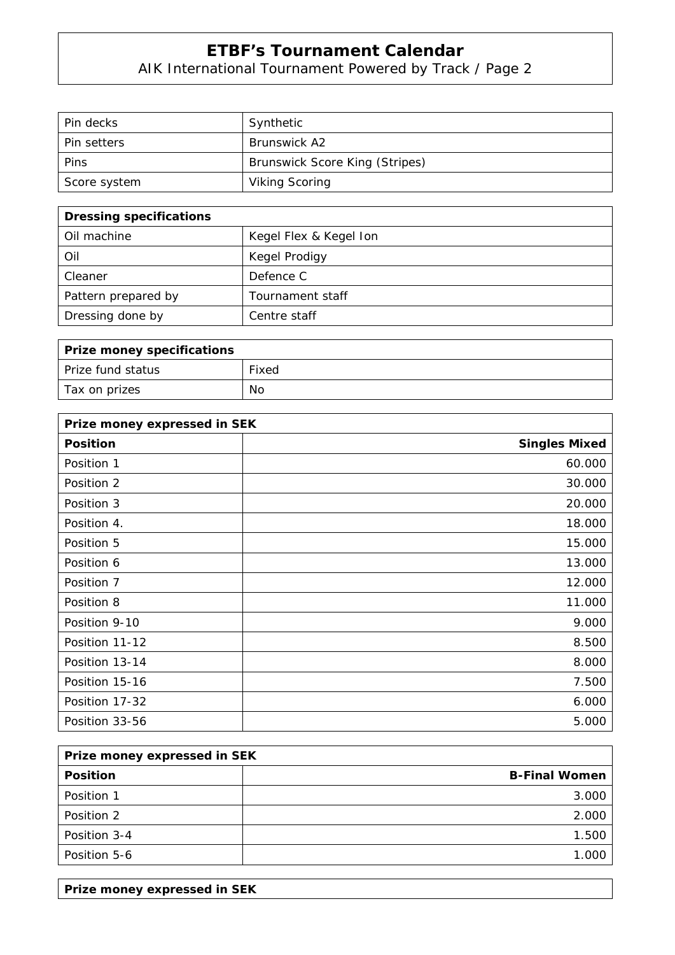AIK International Tournament Powered by Track / Page 2

| Pin decks          | Synthetic                             |
|--------------------|---------------------------------------|
| <b>Pin setters</b> | <b>Brunswick A2</b>                   |
| Pins               | <b>Brunswick Score King (Stripes)</b> |
| Score system       | <b>Viking Scoring</b>                 |

| <b>Dressing specifications</b> |                        |
|--------------------------------|------------------------|
| Oil machine                    | Kegel Flex & Kegel Ion |
| Oil                            | Kegel Prodigy          |
| Cleaner                        | Defence C              |
| Pattern prepared by            | Tournament staff       |
| Dressing done by               | Centre staff           |

| Prize money specifications |       |
|----------------------------|-------|
| l Prize fund status        | Fixed |
| Tax on prizes              | No    |

| Prize money expressed in SEK |                      |
|------------------------------|----------------------|
| <b>Position</b>              | <b>Singles Mixed</b> |
| Position 1                   | 60.000               |
| Position 2                   | 30.000               |
| Position 3                   | 20.000               |
| Position 4.                  | 18.000               |
| Position 5                   | 15.000               |
| Position 6                   | 13.000               |
| Position 7                   | 12.000               |
| Position 8                   | 11.000               |
| Position 9-10                | 9.000                |
| Position 11-12               | 8.500                |
| Position 13-14               | 8.000                |
| Position 15-16               | 7.500                |
| Position 17-32               | 6.000                |
| Position 33-56               | 5.000                |

| Prize money expressed in SEK |                      |
|------------------------------|----------------------|
| <b>Position</b>              | <b>B-Final Women</b> |
| Position 1                   | 3.000                |
| Position 2                   | 2.00C                |
| Position 3-4                 | 1.500                |
| Position 5-6                 |                      |

**Prize money expressed in SEK**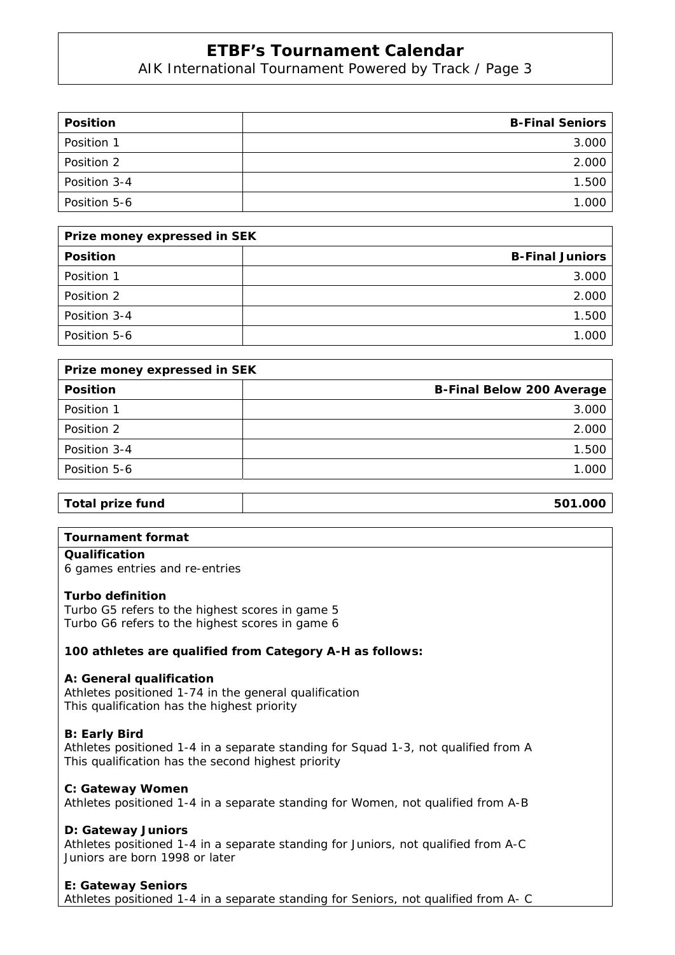AIK International Tournament Powered by Track / Page 3

| <b>Position</b> | <b>B-Final Seniors</b> |
|-----------------|------------------------|
| Position 1      | 3.000                  |
| Position 2      | 2.000                  |
| Position 3-4    | 1.500                  |
| Position 5-6    | 1.000                  |

| Prize money expressed in SEK |                        |  |  |
|------------------------------|------------------------|--|--|
| <b>Position</b>              | <b>B-Final Juniors</b> |  |  |
| Position 1                   | 3.000                  |  |  |
| Position 2                   | 2.00C                  |  |  |
| Position 3-4                 | 1.500                  |  |  |
| Position 5-6                 |                        |  |  |

| Prize money expressed in SEK |                                  |  |  |
|------------------------------|----------------------------------|--|--|
| <b>Position</b>              | <b>B-Final Below 200 Average</b> |  |  |
| Position 1                   | 3.000                            |  |  |
| Position 2                   | 2.000                            |  |  |
| Position 3-4                 | 1.500                            |  |  |
| Position 5-6                 | 1.000                            |  |  |
|                              |                                  |  |  |

#### **Total prize fund 501.000**

#### **Tournament format**

#### **Qualification**

6 games entries and re-entries

#### **Turbo definition**

Turbo G5 refers to the highest scores in game 5 Turbo G6 refers to the highest scores in game 6

#### **100 athletes are qualified from Category A-H as follows:**

#### **A: General qualification**

Athletes positioned 1-74 in the general qualification This qualification has the highest priority

#### **B: Early Bird**

Athletes positioned 1-4 in a separate standing for Squad 1-3, not qualified from A This qualification has the second highest priority

#### **C: Gateway Women**

Athletes positioned 1-4 in a separate standing for Women, not qualified from A-B

#### **D: Gateway Juniors**

Athletes positioned 1-4 in a separate standing for Juniors, not qualified from A-C Juniors are born 1998 or later

#### **E: Gateway Seniors**

Athletes positioned 1-4 in a separate standing for Seniors, not qualified from A- C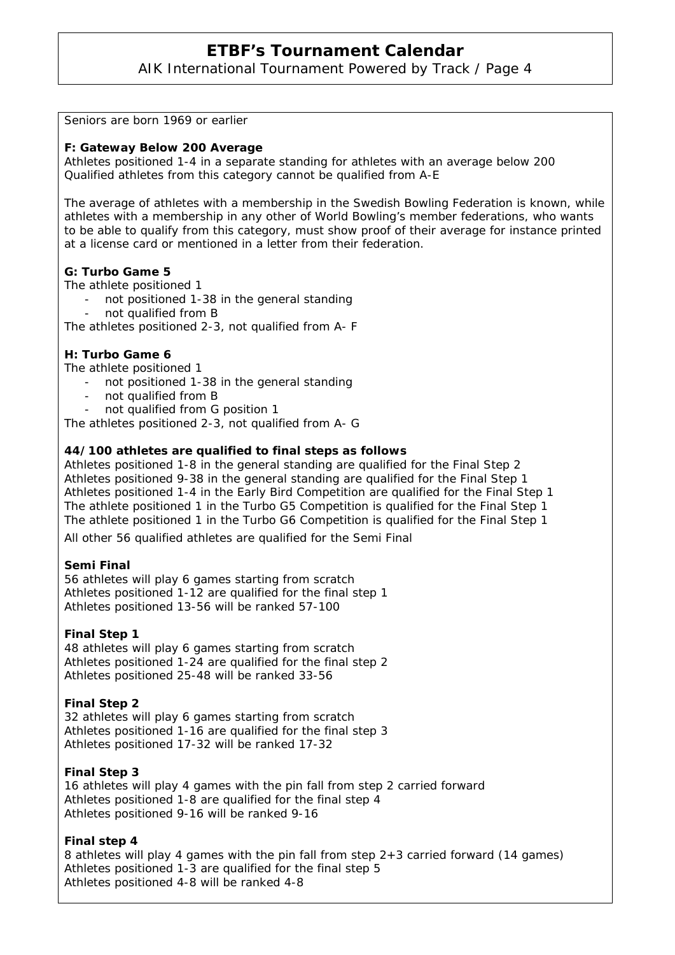AIK International Tournament Powered by Track / Page 4

Seniors are born 1969 or earlier

#### **F: Gateway Below 200 Average**

Athletes positioned 1-4 in a separate standing for athletes with an average below 200 Qualified athletes from this category cannot be qualified from A-E

The average of athletes with a membership in the Swedish Bowling Federation is known, while athletes with a membership in any other of World Bowling's member federations, who wants to be able to qualify from this category, must show proof of their average for instance printed at a license card or mentioned in a letter from their federation.

#### **G: Turbo Game 5**

The athlete positioned 1

- not positioned 1-38 in the general standing
- not qualified from B

The athletes positioned 2-3, not qualified from A- F

#### **H: Turbo Game 6**

The athlete positioned 1

- not positioned 1-38 in the general standing
- not qualified from B
- not qualified from G position 1

The athletes positioned 2-3, not qualified from A- G

#### **44/100 athletes are qualified to final steps as follows**

Athletes positioned 1-8 in the general standing are qualified for the Final Step 2 Athletes positioned 9-38 in the general standing are qualified for the Final Step 1 Athletes positioned 1-4 in the Early Bird Competition are qualified for the Final Step 1 The athlete positioned 1 in the Turbo G5 Competition is qualified for the Final Step 1 The athlete positioned 1 in the Turbo G6 Competition is qualified for the Final Step 1

All other 56 qualified athletes are qualified for the Semi Final

#### **Semi Final**

56 athletes will play 6 games starting from scratch Athletes positioned 1-12 are qualified for the final step 1 Athletes positioned 13-56 will be ranked 57-100

#### **Final Step 1**

48 athletes will play 6 games starting from scratch Athletes positioned 1-24 are qualified for the final step 2 Athletes positioned 25-48 will be ranked 33-56

#### **Final Step 2**

32 athletes will play 6 games starting from scratch Athletes positioned 1-16 are qualified for the final step 3 Athletes positioned 17-32 will be ranked 17-32

#### **Final Step 3**

16 athletes will play 4 games with the pin fall from step 2 carried forward Athletes positioned 1-8 are qualified for the final step 4 Athletes positioned 9-16 will be ranked 9-16

#### **Final step 4**

8 athletes will play 4 games with the pin fall from step 2+3 carried forward (14 games) Athletes positioned 1-3 are qualified for the final step 5 Athletes positioned 4-8 will be ranked 4-8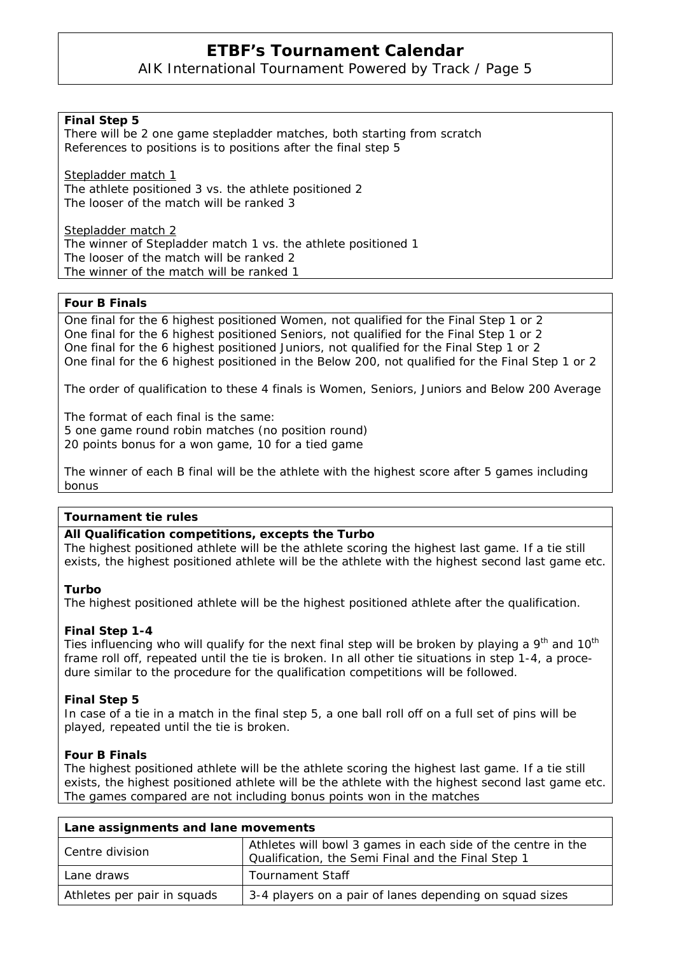### AIK International Tournament Powered by Track / Page 5

#### **Final Step 5**

There will be 2 one game stepladder matches, both starting from scratch References to positions is to positions after the final step 5

Stepladder match 1 The athlete positioned 3 vs. the athlete positioned 2 The looser of the match will be ranked 3

Stepladder match 2 The winner of Stepladder match 1 vs. the athlete positioned 1 The looser of the match will be ranked 2 The winner of the match will be ranked 1

#### **Four B Finals**

One final for the 6 highest positioned Women, not qualified for the Final Step 1 or 2 One final for the 6 highest positioned Seniors, not qualified for the Final Step 1 or 2 One final for the 6 highest positioned Juniors, not qualified for the Final Step 1 or 2 One final for the 6 highest positioned in the Below 200, not qualified for the Final Step 1 or 2

The order of qualification to these 4 finals is Women, Seniors, Juniors and Below 200 Average

The format of each final is the same: 5 one game round robin matches (no position round) 20 points bonus for a won game, 10 for a tied game

The winner of each B final will be the athlete with the highest score after 5 games including bonus

#### **Tournament tie rules**

#### **All Qualification competitions, excepts the Turbo**

The highest positioned athlete will be the athlete scoring the highest last game. If a tie still exists, the highest positioned athlete will be the athlete with the highest second last game etc.

#### **Turbo**

The highest positioned athlete will be the highest positioned athlete after the qualification.

#### **Final Step 1-4**

Ties influencing who will qualify for the next final step will be broken by playing a  $9<sup>th</sup>$  and 10<sup>th</sup> frame roll off, repeated until the tie is broken. In all other tie situations in step 1-4, a procedure similar to the procedure for the qualification competitions will be followed.

#### **Final Step 5**

In case of a tie in a match in the final step 5, a one ball roll off on a full set of pins will be played, repeated until the tie is broken.

#### **Four B Finals**

The highest positioned athlete will be the athlete scoring the highest last game. If a tie still exists, the highest positioned athlete will be the athlete with the highest second last game etc. The games compared are not including bonus points won in the matches

| Lane assignments and lane movements |                                                                                                                    |  |  |
|-------------------------------------|--------------------------------------------------------------------------------------------------------------------|--|--|
| Centre division                     | Athletes will bowl 3 games in each side of the centre in the<br>Qualification, the Semi Final and the Final Step 1 |  |  |
| Lane draws                          | Tournament Staff                                                                                                   |  |  |
| Athletes per pair in squads         | 3-4 players on a pair of lanes depending on squad sizes                                                            |  |  |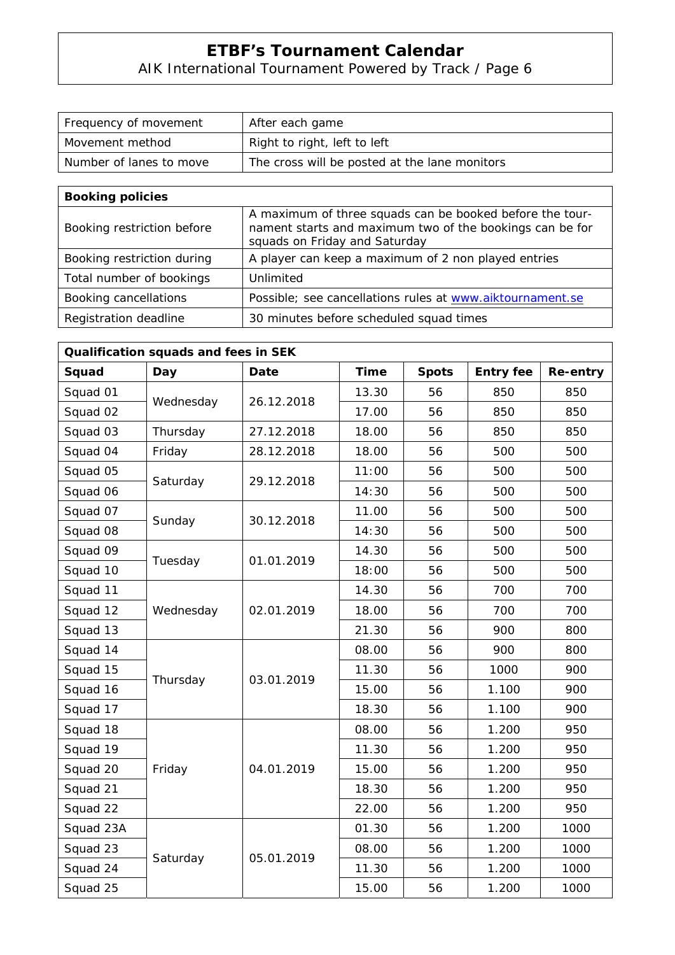# AIK International Tournament Powered by Track / Page 6

| Frequency of movement   | After each game                               |
|-------------------------|-----------------------------------------------|
| Movement method         | Right to right, left to left                  |
| Number of lanes to move | The cross will be posted at the lane monitors |

| <b>Booking policies</b>    |                                                                                                                                                       |
|----------------------------|-------------------------------------------------------------------------------------------------------------------------------------------------------|
| Booking restriction before | A maximum of three squads can be booked before the tour-<br>nament starts and maximum two of the bookings can be for<br>squads on Friday and Saturday |
| Booking restriction during | A player can keep a maximum of 2 non played entries                                                                                                   |
| Total number of bookings   | Unlimited                                                                                                                                             |
| Booking cancellations      | Possible; see cancellations rules at www.aiktournament.se                                                                                             |
| Registration deadline      | 30 minutes before scheduled squad times                                                                                                               |

| Qualification squads and fees in SEK |           |            |             |              |                  |          |
|--------------------------------------|-----------|------------|-------------|--------------|------------------|----------|
| Squad                                | Day       | Date       | <b>Time</b> | <b>Spots</b> | <b>Entry fee</b> | Re-entry |
| Squad 01                             | Wednesday | 26.12.2018 | 13.30       | 56           | 850              | 850      |
| Squad 02                             |           |            | 17.00       | 56           | 850              | 850      |
| Squad 03                             | Thursday  | 27.12.2018 | 18.00       | 56           | 850              | 850      |
| Squad 04                             | Friday    | 28.12.2018 | 18.00       | 56           | 500              | 500      |
| Squad 05                             | Saturday  |            | 11:00       | 56           | 500              | 500      |
| Squad 06                             |           | 29.12.2018 | 14:30       | 56           | 500              | 500      |
| Squad 07                             | Sunday    |            | 11.00       | 56           | 500              | 500      |
| Squad 08                             |           | 30.12.2018 | 14:30       | 56           | 500              | 500      |
| Squad 09                             | Tuesday   | 01.01.2019 | 14.30       | 56           | 500              | 500      |
| Squad 10                             |           |            | 18:00       | 56           | 500              | 500      |
| Squad 11                             |           | 02.01.2019 | 14.30       | 56           | 700              | 700      |
| Squad 12                             | Wednesday |            | 18.00       | 56           | 700              | 700      |
| Squad 13                             |           |            | 21.30       | 56           | 900              | 800      |
| Squad 14                             |           |            | 08.00       | 56           | 900              | 800      |
| Squad 15                             | Thursday  | 03.01.2019 | 11.30       | 56           | 1000             | 900      |
| Squad 16                             |           |            | 15.00       | 56           | 1.100            | 900      |
| Squad 17                             |           |            | 18.30       | 56           | 1.100            | 900      |
| Squad 18                             |           |            | 08.00       | 56           | 1.200            | 950      |
| Squad 19                             |           |            | 11.30       | 56           | 1.200            | 950      |
| Squad 20                             | Friday    | 04.01.2019 | 15.00       | 56           | 1.200            | 950      |
| Squad 21                             |           |            | 18.30       | 56           | 1.200            | 950      |
| Squad 22                             |           |            | 22.00       | 56           | 1.200            | 950      |
| Squad 23A                            |           | 05.01.2019 | 01.30       | 56           | 1.200            | 1000     |
| Squad 23                             |           |            | 08.00       | 56           | 1.200            | 1000     |
| Squad 24                             | Saturday  |            | 11.30       | 56           | 1.200            | 1000     |
| Squad 25                             |           |            | 15.00       | 56           | 1.200            | 1000     |